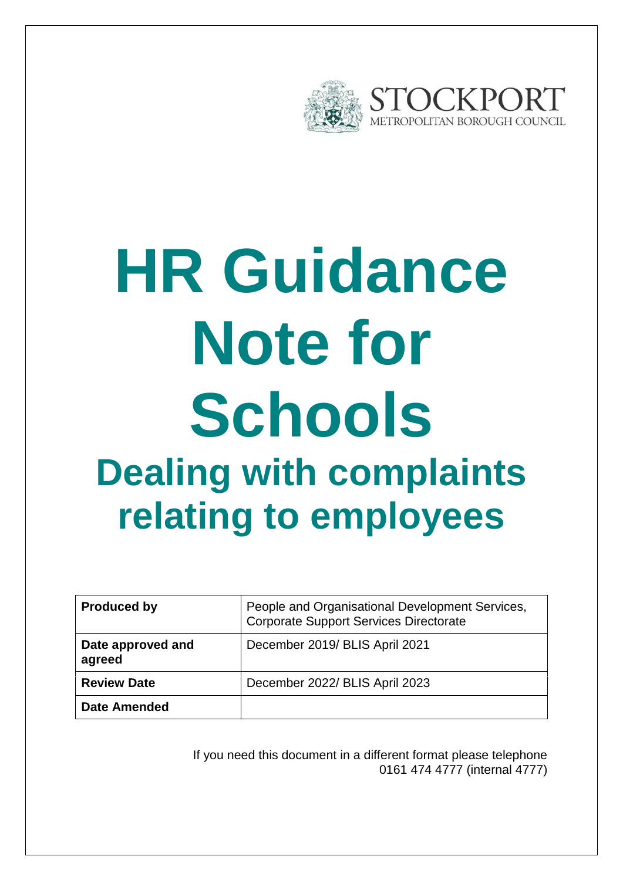

# **HR Guidance Note for Schools Dealing with complaints relating to employees**

| <b>Produced by</b>          | People and Organisational Development Services,<br><b>Corporate Support Services Directorate</b> |
|-----------------------------|--------------------------------------------------------------------------------------------------|
| Date approved and<br>agreed | December 2019/ BLIS April 2021                                                                   |
| <b>Review Date</b>          | December 2022/ BLIS April 2023                                                                   |
| <b>Date Amended</b>         |                                                                                                  |

If you need this document in a different format please telephone 0161 474 4777 (internal 4777)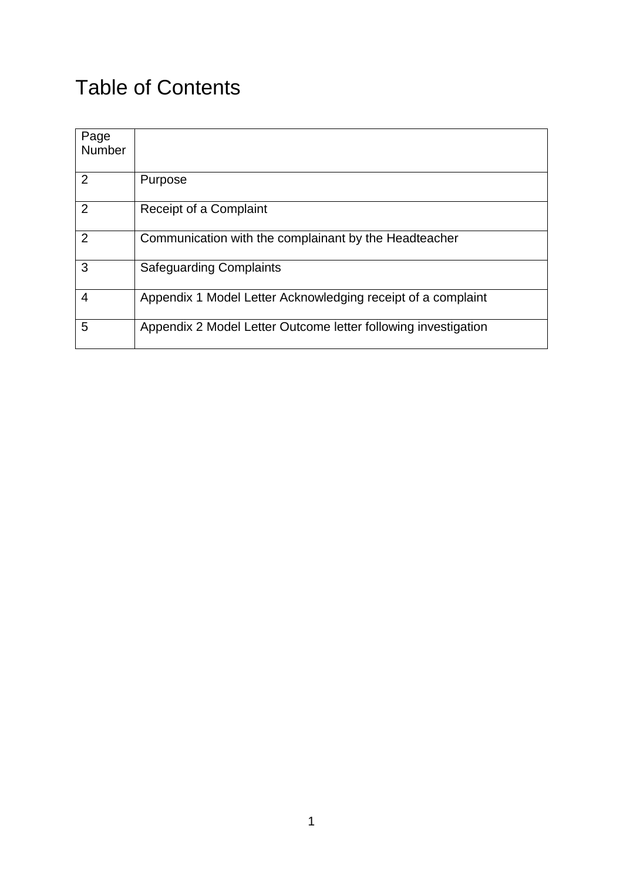## Table of Contents

| Page           |                                                                |
|----------------|----------------------------------------------------------------|
| Number         |                                                                |
|                |                                                                |
| 2              | Purpose                                                        |
| $\overline{2}$ | Receipt of a Complaint                                         |
| 2              | Communication with the complainant by the Headteacher          |
| 3              | <b>Safeguarding Complaints</b>                                 |
| 4              | Appendix 1 Model Letter Acknowledging receipt of a complaint   |
| 5              | Appendix 2 Model Letter Outcome letter following investigation |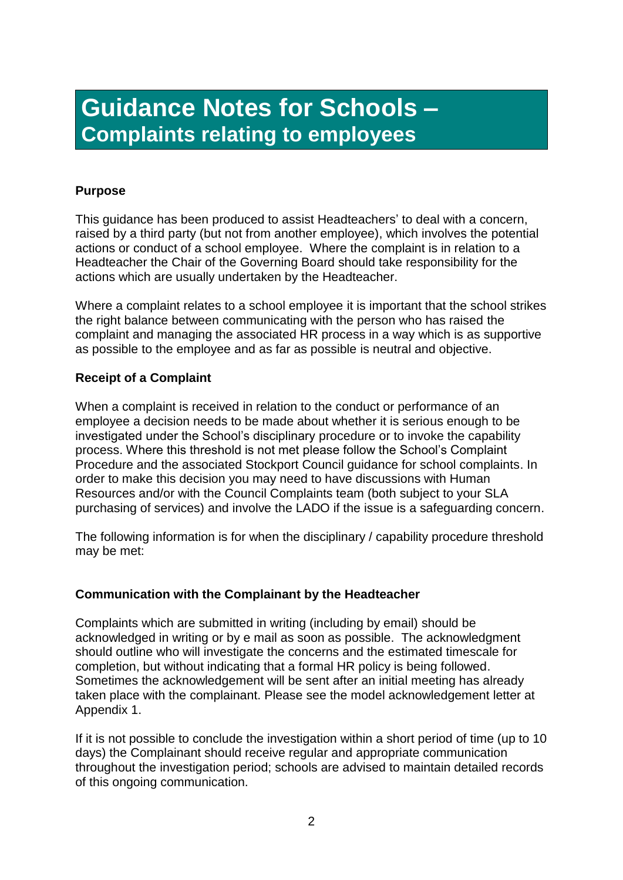## **Guidance Notes for Schools – Complaints relating to employees**

#### **Purpose**

This guidance has been produced to assist Headteachers' to deal with a concern, raised by a third party (but not from another employee), which involves the potential actions or conduct of a school employee. Where the complaint is in relation to a Headteacher the Chair of the Governing Board should take responsibility for the actions which are usually undertaken by the Headteacher.

Where a complaint relates to a school employee it is important that the school strikes the right balance between communicating with the person who has raised the complaint and managing the associated HR process in a way which is as supportive as possible to the employee and as far as possible is neutral and objective.

#### **Receipt of a Complaint**

When a complaint is received in relation to the conduct or performance of an employee a decision needs to be made about whether it is serious enough to be investigated under the School's disciplinary procedure or to invoke the capability process. Where this threshold is not met please follow the School's Complaint Procedure and the associated Stockport Council guidance for school complaints. In order to make this decision you may need to have discussions with Human Resources and/or with the Council Complaints team (both subject to your SLA purchasing of services) and involve the LADO if the issue is a safeguarding concern.

The following information is for when the disciplinary / capability procedure threshold may be met:

#### **Communication with the Complainant by the Headteacher**

Complaints which are submitted in writing (including by email) should be acknowledged in writing or by e mail as soon as possible. The acknowledgment should outline who will investigate the concerns and the estimated timescale for completion, but without indicating that a formal HR policy is being followed. Sometimes the acknowledgement will be sent after an initial meeting has already taken place with the complainant. Please see the model acknowledgement letter at Appendix 1.

If it is not possible to conclude the investigation within a short period of time (up to 10 days) the Complainant should receive regular and appropriate communication throughout the investigation period; schools are advised to maintain detailed records of this ongoing communication.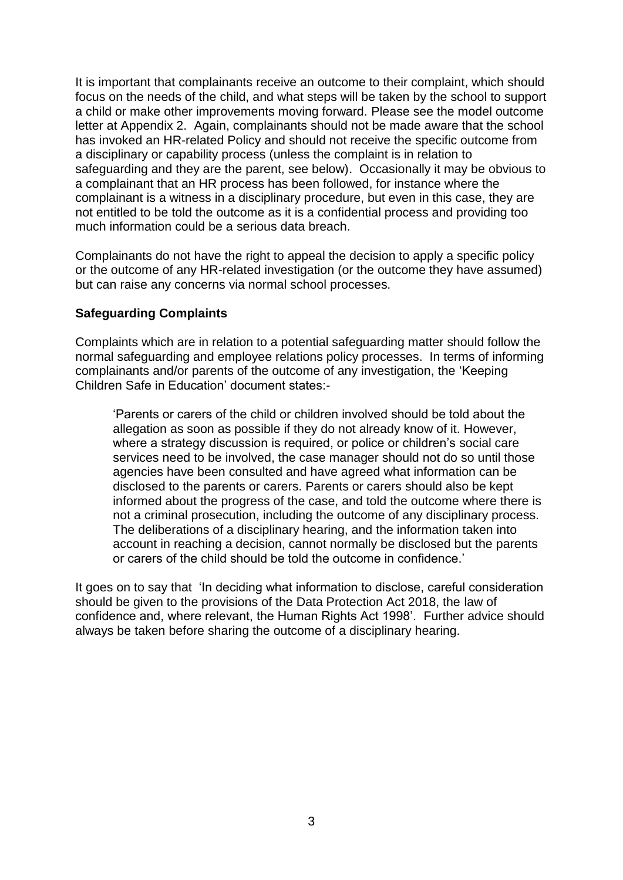It is important that complainants receive an outcome to their complaint, which should focus on the needs of the child, and what steps will be taken by the school to support a child or make other improvements moving forward. Please see the model outcome letter at Appendix 2. Again, complainants should not be made aware that the school has invoked an HR-related Policy and should not receive the specific outcome from a disciplinary or capability process (unless the complaint is in relation to safeguarding and they are the parent, see below). Occasionally it may be obvious to a complainant that an HR process has been followed, for instance where the complainant is a witness in a disciplinary procedure, but even in this case, they are not entitled to be told the outcome as it is a confidential process and providing too much information could be a serious data breach.

Complainants do not have the right to appeal the decision to apply a specific policy or the outcome of any HR-related investigation (or the outcome they have assumed) but can raise any concerns via normal school processes.

#### **Safeguarding Complaints**

Complaints which are in relation to a potential safeguarding matter should follow the normal safeguarding and employee relations policy processes. In terms of informing complainants and/or parents of the outcome of any investigation, the 'Keeping Children Safe in Education' document states:-

'Parents or carers of the child or children involved should be told about the allegation as soon as possible if they do not already know of it. However, where a strategy discussion is required, or police or children's social care services need to be involved, the case manager should not do so until those agencies have been consulted and have agreed what information can be disclosed to the parents or carers. Parents or carers should also be kept informed about the progress of the case, and told the outcome where there is not a criminal prosecution, including the outcome of any disciplinary process. The deliberations of a disciplinary hearing, and the information taken into account in reaching a decision, cannot normally be disclosed but the parents or carers of the child should be told the outcome in confidence.'

It goes on to say that 'In deciding what information to disclose, careful consideration should be given to the provisions of the Data Protection Act 2018, the law of confidence and, where relevant, the Human Rights Act 1998'. Further advice should always be taken before sharing the outcome of a disciplinary hearing.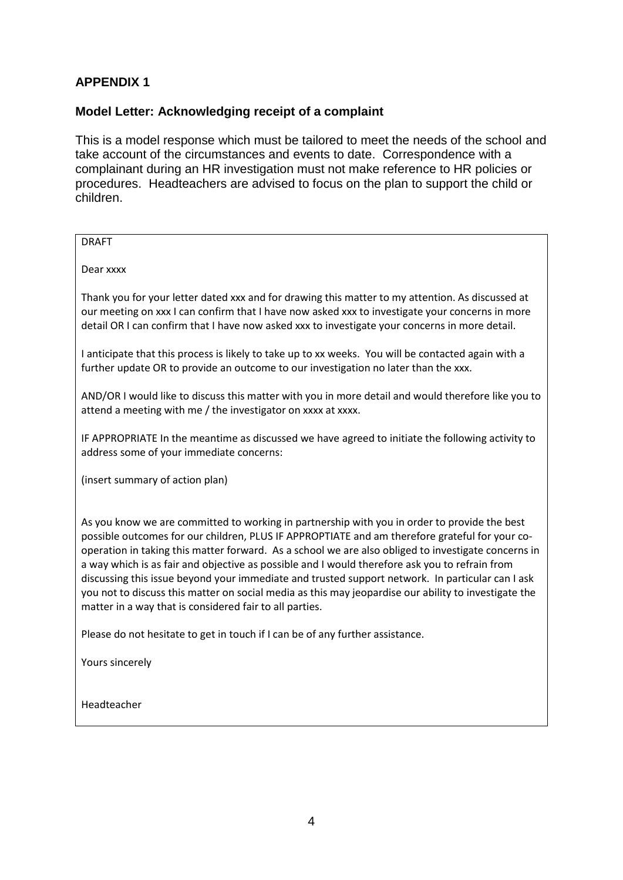### **APPENDIX 1**

#### **Model Letter: Acknowledging receipt of a complaint**

This is a model response which must be tailored to meet the needs of the school and take account of the circumstances and events to date. Correspondence with a complainant during an HR investigation must not make reference to HR policies or procedures. Headteachers are advised to focus on the plan to support the child or children.

Please do not hesitate to get in touch if I can be of any further assistance.

Yours sincerely

Headteacher